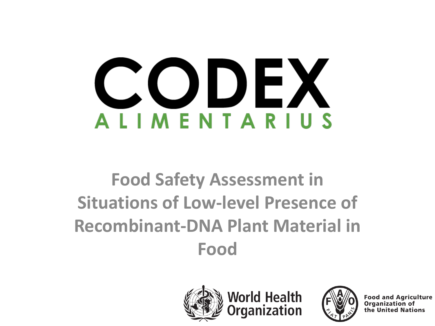# CODEX **ALIMENTARIUS**

# **Food Safety Assessment in Situations of Low-level Presence of Recombinant-DNA Plant Material in Food**



**World Health** ganization



**Food and Agriculture** Organization of the United Nations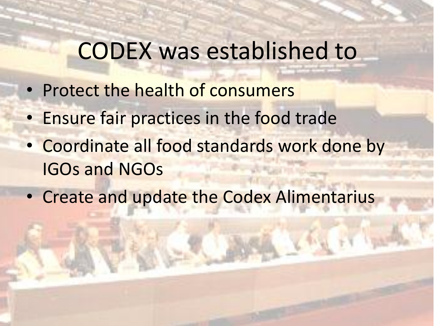# CODEX was established to

- Protect the health of consumers
- Ensure fair practices in the food trade
- Coordinate all food standards work done by IGOs and NGOs
- Create and update the Codex Alimentarius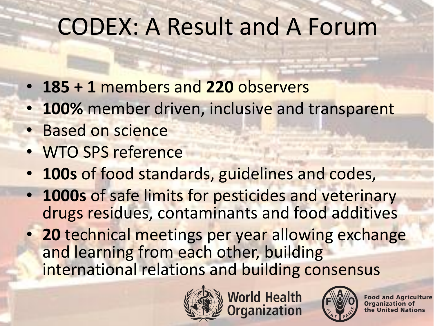# CODEX: A Result and A Forum

- **185 + 1** members and **220** observers
- **100%** member driven, inclusive and transparent
- Based on science
- WTO SPS reference
- **100s** of food standards, guidelines and codes,
- **1000s** of safe limits for pesticides and veterinary drugs residues, contaminants and food additives
- **20** technical meetings per year allowing exchange and learning from each other, building international relations and building consensus



**World Health<br>Organization** 



**Food and Agriculture Organization of** the United Nations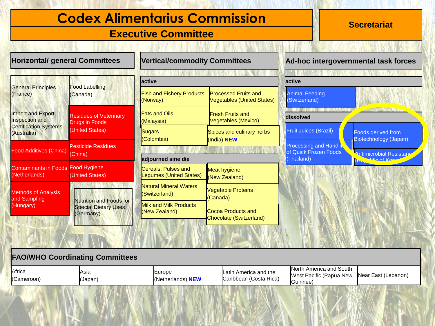# **Codex Alimentarius Commission Material Recretariat**

#### **Executive Committee**

| <b>Horizontal/ general Committees</b>                                              |                                                                            | <b>Vertical/commodity Committees</b>                  |                                                                  | Ad-hoc intergovernmental task forces                                 |                                                    |  |
|------------------------------------------------------------------------------------|----------------------------------------------------------------------------|-------------------------------------------------------|------------------------------------------------------------------|----------------------------------------------------------------------|----------------------------------------------------|--|
|                                                                                    |                                                                            |                                                       |                                                                  |                                                                      |                                                    |  |
| <b>General Principles</b><br>(France)                                              | <b>Food Labelling</b><br>(Canada)                                          | lactive                                               |                                                                  | active                                                               |                                                    |  |
|                                                                                    |                                                                            | <b>Fish and Fishery Products</b><br>(Norway)          | <b>Processed Fruits and</b><br><b>Vegetables (United States)</b> | <b>Animal Feeding</b><br>(Switzerland)                               |                                                    |  |
| Import and Export<br>Inspection and<br><b>Certification Systems</b><br>(Australia) | <b>Residues of Veterinary</b><br>Drugs in Foods<br>(United States)         | <b>Fats and Oils</b><br>(Malaysia)                    | <b>IFresh Fruits and</b><br>Vegetables (Mexico)                  | <b>BELLAY ANNUAL METAL</b><br>dissolved                              | <b>ANGELITAY</b>                                   |  |
|                                                                                    |                                                                            | Sugars<br>(Colombia)                                  | Spices and culinary herbs<br>(India) NEW                         | <b>Fruit Juices (Brazil)</b>                                         | <b>Foods derived from</b><br>Biotechnology (Japan) |  |
| <b>Food Additives (China)</b>                                                      | <b>Pesticide Residues</b><br>(China)                                       | adjourned sine die                                    |                                                                  | <b>Processing and Handlin</b><br>of Quick Frozen Foods<br>(Thailand) | <b>Antimicrobial Resistane</b><br>Win of Kore      |  |
| <b>Contaminants in Foods</b><br>(Netherlands)                                      | Food Hygiene<br>(United States)                                            | Cereals, Pulses and<br><b>Legumes (United States)</b> | Meat hygiene<br>(New Zealand)                                    |                                                                      | Inc.                                               |  |
| <b>Methods of Analysis</b><br>and Sampling<br>(Hungary)                            | <b>Nutrition and Foods for</b><br><b>Special Dietary Uses</b><br>(Germany) | <b>Natural Mineral Waters</b><br>(Switzerland)        | <b>Vegetable Proteins</b><br>(Canada)                            |                                                                      |                                                    |  |
|                                                                                    |                                                                            | <b>Milk and Milk Products</b><br>(New Zealand)        | Cocoa Products and<br>Chocolate (Switzerland)                    |                                                                      |                                                    |  |
|                                                                                    |                                                                            |                                                       |                                                                  |                                                                      |                                                    |  |

#### **FAO/WHO Coordinating Committees**

| Africa<br><b>Asia</b><br>(Cameroon)<br>(Japan) |  | $\textcolor{red}{\text{curve}}$<br><sup>I</sup> (Netherlands) <b>NEW</b> | <b>Latin America and the</b><br>Caribbean (Costa Rica) | America and South<br>North<br>West Pacific (Papua New<br>∽<br>IGuinnee | Near East (Lebanon) |
|------------------------------------------------|--|--------------------------------------------------------------------------|--------------------------------------------------------|------------------------------------------------------------------------|---------------------|
|------------------------------------------------|--|--------------------------------------------------------------------------|--------------------------------------------------------|------------------------------------------------------------------------|---------------------|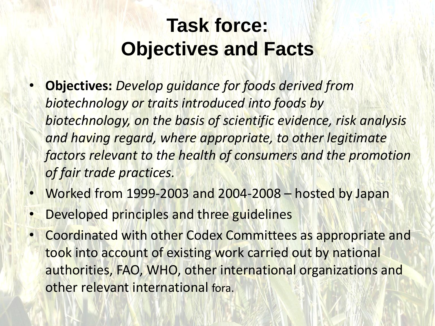# **Task force: Objectives and Facts**

- **Objectives:** *Develop guidance for foods derived from biotechnology or traits introduced into foods by biotechnology, on the basis of scientific evidence, risk analysis*  and having regard, where appropriate, to other legitimate *factors relevant to the health of consumers and the promotion of fair trade practices.*
- Worked from 1999-2003 and 2004-2008 hosted by Japan
- Developed principles and three guidelines
- Coordinated with other Codex Committees as appropriate and took into account of existing work carried out by national authorities, FAO, WHO, other international organizations and other relevant international fora.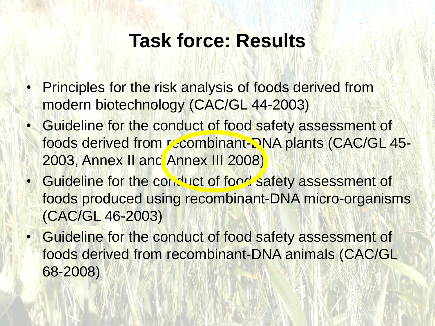# **Task force: Results**

- Principles for the risk analysis of foods derived from modern biotechnology (CAC/GL 44-2003)
- Guideline for the conduct of food safety assessment of foods derived from recombinant-DNA plants (CAC/GL 45-2003, Annex II and Annex III 2008)
- Guideline for the conduct of food safety assessment of foods produced using recombinant-DNA micro-organisms (CAC/GL 46-2003)
	- Guideline for the conduct of food safety assessment of foods derived from recombinant-DNA animals (CAC/GL 68-2008)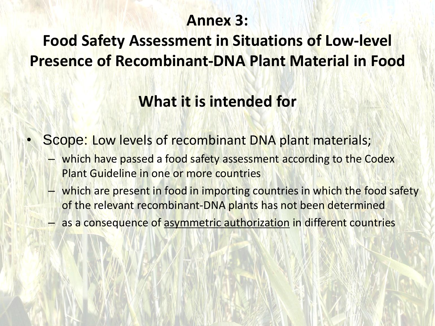# **Annex 3:**

# **Food Safety Assessment in Situations of Low-level Presence of Recombinant-DNA Plant Material in Food**

# **What it is intended for**

- Scope: Low levels of recombinant DNA plant materials;
	- which have passed a food safety assessment according to the Codex Plant Guideline in one or more countries
	- which are present in food in importing countries in which the food safety of the relevant recombinant-DNA plants has not been determined
	- as a consequence of asymmetric authorization in different countries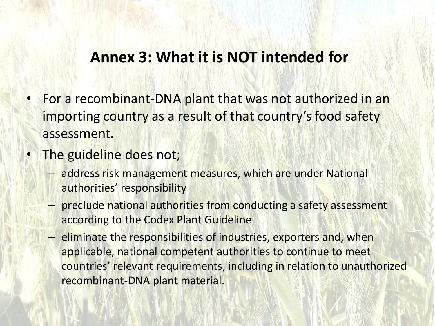### **Annex 3: What it is NOT intended for**

- For a recombinant-DNA plant that was not authorized in an importing country as a result of that country's food safety assessment.
- The guideline does not;
	- address risk management measures, which are under National authorities' responsibility
	- preclude national authorities from conducting a safety assessment according to the Codex Plant Guideline
	- eliminate the responsibilities of industries, exporters and, when applicable, national competent authorities to continue to meet countries' relevant requirements, including in relation to unauthorized recombinant-DNA plant material.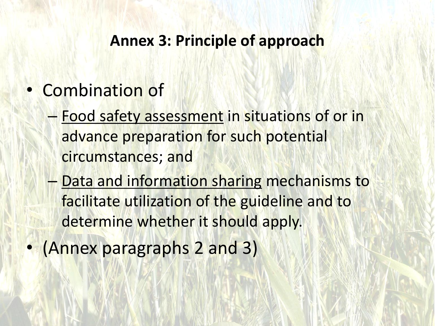#### **Annex 3: Principle of approach**

- Combination of
	- Food safety assessment in situations of or in advance preparation for such potential circumstances; and
	- Data and information sharing mechanisms to facilitate utilization of the guideline and to determine whether it should apply.
- (Annex paragraphs 2 and 3)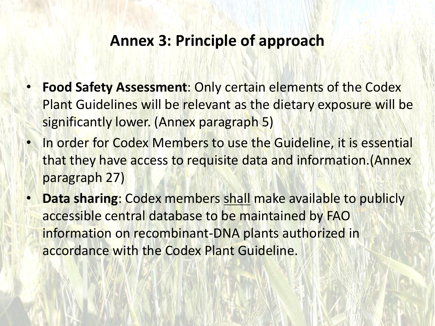#### **Annex 3: Principle of approach**

- **Food Safety Assessment**: Only certain elements of the Codex Plant Guidelines will be relevant as the dietary exposure will be significantly lower. (Annex paragraph 5)
- In order for Codex Members to use the Guideline, it is essential that they have access to requisite data and information.(Annex paragraph 27)
- **Data sharing**: Codex members shall make available to publicly accessible central database to be maintained by FAO information on recombinant-DNA plants authorized in accordance with the Codex Plant Guideline.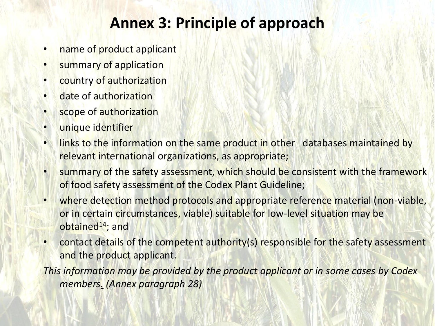# **Annex 3: Principle of approach**

- name of product applicant
- summary of application
- country of authorization
- date of authorization
- scope of authorization
- unique identifier
- links to the information on the same product in other databases maintained by relevant international organizations, as appropriate;
- summary of the safety assessment, which should be consistent with the framework of food safety assessment of the Codex Plant Guideline;
- where detection method protocols and appropriate reference material (non-viable, or in certain circumstances, viable) suitable for low-level situation may be obtained $14$ ; and
- contact details of the competent authority(s) responsible for the safety assessment and the product applicant.

*This information may be provided by the product applicant or in some cases by Codex members. (Annex paragraph 28)*